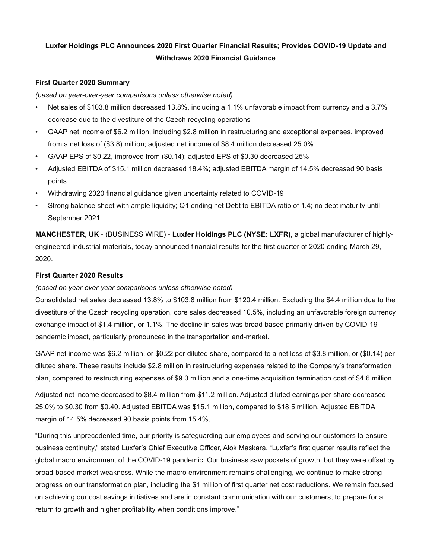# Luxfer Holdings PLC Announces 2020 First Quarter Financial Results; Provides COVID-19 Update and Withdraws 2020 Financial Guidance

### First Quarter 2020 Summary

#### (based on year-over-year comparisons unless otherwise noted)

- Net sales of \$103.8 million decreased 13.8%, including a 1.1% unfavorable impact from currency and a 3.7% decrease due to the divestiture of the Czech recycling operations
- GAAP net income of \$6.2 million, including \$2.8 million in restructuring and exceptional expenses, improved from a net loss of (\$3.8) million; adjusted net income of \$8.4 million decreased 25.0%
- GAAP EPS of \$0.22, improved from (\$0.14); adjusted EPS of \$0.30 decreased 25%
- Adjusted EBITDA of \$15.1 million decreased 18.4%; adjusted EBITDA margin of 14.5% decreased 90 basis points
- Withdrawing 2020 financial guidance given uncertainty related to COVID-19
- Strong balance sheet with ample liquidity; Q1 ending net Debt to EBITDA ratio of 1.4; no debt maturity until September 2021

MANCHESTER, UK - (BUSINESS WIRE) - Luxfer Holdings PLC (NYSE: LXFR), a global manufacturer of highlyengineered industrial materials, today announced financial results for the first quarter of 2020 ending March 29, 2020.

## First Quarter 2020 Results

### (based on year-over-year comparisons unless otherwise noted)

Consolidated net sales decreased 13.8% to \$103.8 million from \$120.4 million. Excluding the \$4.4 million due to the divestiture of the Czech recycling operation, core sales decreased 10.5%, including an unfavorable foreign currency exchange impact of \$1.4 million, or 1.1%. The decline in sales was broad based primarily driven by COVID-19 pandemic impact, particularly pronounced in the transportation end-market.

GAAP net income was \$6.2 million, or \$0.22 per diluted share, compared to a net loss of \$3.8 million, or (\$0.14) per diluted share. These results include \$2.8 million in restructuring expenses related to the Company's transformation plan, compared to restructuring expenses of \$9.0 million and a one-time acquisition termination cost of \$4.6 million.

Adjusted net income decreased to \$8.4 million from \$11.2 million. Adjusted diluted earnings per share decreased 25.0% to \$0.30 from \$0.40. Adjusted EBITDA was \$15.1 million, compared to \$18.5 million. Adjusted EBITDA margin of 14.5% decreased 90 basis points from 15.4%.

"During this unprecedented time, our priority is safeguarding our employees and serving our customers to ensure business continuity," stated Luxfer's Chief Executive Officer, Alok Maskara. "Luxfer's first quarter results reflect the global macro environment of the COVID-19 pandemic. Our business saw pockets of growth, but they were offset by broad-based market weakness. While the macro environment remains challenging, we continue to make strong progress on our transformation plan, including the \$1 million of first quarter net cost reductions. We remain focused on achieving our cost savings initiatives and are in constant communication with our customers, to prepare for a return to growth and higher profitability when conditions improve."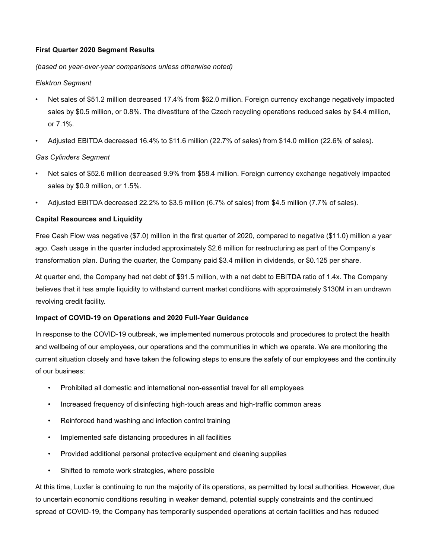## First Quarter 2020 Segment Results

### (based on year-over-year comparisons unless otherwise noted)

### Elektron Segment

- Net sales of \$51.2 million decreased 17.4% from \$62.0 million. Foreign currency exchange negatively impacted sales by \$0.5 million, or 0.8%. The divestiture of the Czech recycling operations reduced sales by \$4.4 million, or 7.1%.
- Adjusted EBITDA decreased 16.4% to \$11.6 million (22.7% of sales) from \$14.0 million (22.6% of sales).

## Gas Cylinders Segment

- Net sales of \$52.6 million decreased 9.9% from \$58.4 million. Foreign currency exchange negatively impacted sales by \$0.9 million, or 1.5%.
- Adjusted EBITDA decreased 22.2% to \$3.5 million (6.7% of sales) from \$4.5 million (7.7% of sales).

## Capital Resources and Liquidity

Free Cash Flow was negative (\$7.0) million in the first quarter of 2020, compared to negative (\$11.0) million a year ago. Cash usage in the quarter included approximately \$2.6 million for restructuring as part of the Company's transformation plan. During the quarter, the Company paid \$3.4 million in dividends, or \$0.125 per share.

At quarter end, the Company had net debt of \$91.5 million, with a net debt to EBITDA ratio of 1.4x. The Company believes that it has ample liquidity to withstand current market conditions with approximately \$130M in an undrawn revolving credit facility.

### Impact of COVID-19 on Operations and 2020 Full-Year Guidance

In response to the COVID-19 outbreak, we implemented numerous protocols and procedures to protect the health and wellbeing of our employees, our operations and the communities in which we operate. We are monitoring the current situation closely and have taken the following steps to ensure the safety of our employees and the continuity of our business:

- Prohibited all domestic and international non-essential travel for all employees
- Increased frequency of disinfecting high-touch areas and high-traffic common areas
- Reinforced hand washing and infection control training
- Implemented safe distancing procedures in all facilities
- Provided additional personal protective equipment and cleaning supplies
- Shifted to remote work strategies, where possible

At this time, Luxfer is continuing to run the majority of its operations, as permitted by local authorities. However, due to uncertain economic conditions resulting in weaker demand, potential supply constraints and the continued spread of COVID-19, the Company has temporarily suspended operations at certain facilities and has reduced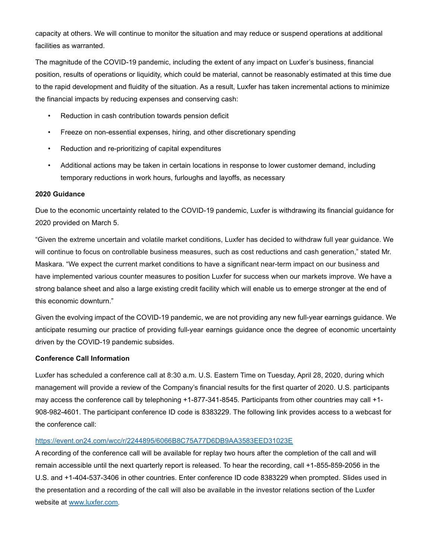capacity at others. We will continue to monitor the situation and may reduce or suspend operations at additional facilities as warranted.

The magnitude of the COVID-19 pandemic, including the extent of any impact on Luxfer's business, financial position, results of operations or liquidity, which could be material, cannot be reasonably estimated at this time due to the rapid development and fluidity of the situation. As a result, Luxfer has taken incremental actions to minimize the financial impacts by reducing expenses and conserving cash:

- Reduction in cash contribution towards pension deficit
- Freeze on non-essential expenses, hiring, and other discretionary spending
- Reduction and re-prioritizing of capital expenditures
- Additional actions may be taken in certain locations in response to lower customer demand, including temporary reductions in work hours, furloughs and layoffs, as necessary

#### 2020 Guidance

Due to the economic uncertainty related to the COVID-19 pandemic, Luxfer is withdrawing its financial guidance for 2020 provided on March 5.

"Given the extreme uncertain and volatile market conditions, Luxfer has decided to withdraw full year guidance. We will continue to focus on controllable business measures, such as cost reductions and cash generation," stated Mr. Maskara. "We expect the current market conditions to have a significant near-term impact on our business and have implemented various counter measures to position Luxfer for success when our markets improve. We have a strong balance sheet and also a large existing credit facility which will enable us to emerge stronger at the end of this economic downturn."

Given the evolving impact of the COVID-19 pandemic, we are not providing any new full-year earnings guidance. We anticipate resuming our practice of providing full-year earnings guidance once the degree of economic uncertainty driven by the COVID-19 pandemic subsides.

#### Conference Call Information

Luxfer has scheduled a conference call at 8:30 a.m. U.S. Eastern Time on Tuesday, April 28, 2020, during which management will provide a review of the Company's financial results for the first quarter of 2020. U.S. participants may access the conference call by telephoning +1-877-341-8545. Participants from other countries may call +1- 908-982-4601. The participant conference ID code is 8383229. The following link provides access to a webcast for the conference call:

### https://event.on24.com/wcc/r/2244895/6066B8C75A77D6DB9AA3583EED31023E

A recording of the conference call will be available for replay two hours after the completion of the call and will remain accessible until the next quarterly report is released. To hear the recording, call +1-855-859-2056 in the U.S. and +1-404-537-3406 in other countries. Enter conference ID code 8383229 when prompted. Slides used in the presentation and a recording of the call will also be available in the investor relations section of the Luxfer website at www.luxfer.com.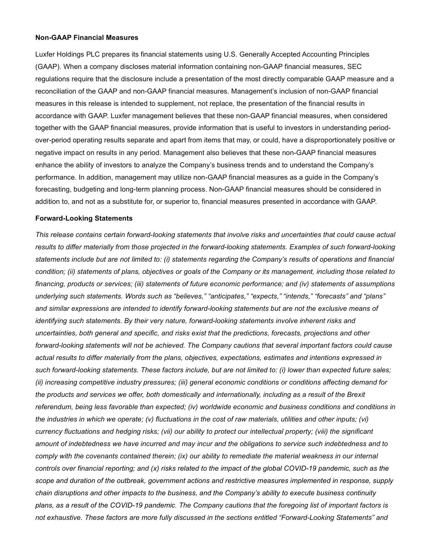#### Non-GAAP Financial Measures

Luxfer Holdings PLC prepares its financial statements using U.S. Generally Accepted Accounting Principles (GAAP). When a company discloses material information containing non-GAAP financial measures, SEC regulations require that the disclosure include a presentation of the most directly comparable GAAP measure and a reconciliation of the GAAP and non-GAAP financial measures. Management's inclusion of non-GAAP financial measures in this release is intended to supplement, not replace, the presentation of the financial results in accordance with GAAP. Luxfer management believes that these non-GAAP financial measures, when considered together with the GAAP financial measures, provide information that is useful to investors in understanding periodover-period operating results separate and apart from items that may, or could, have a disproportionately positive or negative impact on results in any period. Management also believes that these non-GAAP financial measures enhance the ability of investors to analyze the Company's business trends and to understand the Company's performance. In addition, management may utilize non-GAAP financial measures as a guide in the Company's forecasting, budgeting and long-term planning process. Non-GAAP financial measures should be considered in addition to, and not as a substitute for, or superior to, financial measures presented in accordance with GAAP.

#### Forward-Looking Statements

This release contains certain forward-looking statements that involve risks and uncertainties that could cause actual results to differ materially from those projected in the forward-looking statements. Examples of such forward-looking statements include but are not limited to: (i) statements regarding the Company's results of operations and financial condition; (ii) statements of plans, objectives or goals of the Company or its management, including those related to financing, products or services; (iii) statements of future economic performance; and (iv) statements of assumptions underlying such statements. Words such as "believes," "anticipates," "expects," "intends," "forecasts" and "plans" and similar expressions are intended to identify forward-looking statements but are not the exclusive means of identifying such statements. By their very nature, forward-looking statements involve inherent risks and uncertainties, both general and specific, and risks exist that the predictions, forecasts, projections and other forward-looking statements will not be achieved. The Company cautions that several important factors could cause actual results to differ materially from the plans, objectives, expectations, estimates and intentions expressed in such forward-looking statements. These factors include, but are not limited to: (i) lower than expected future sales; (ii) increasing competitive industry pressures; (iii) general economic conditions or conditions affecting demand for the products and services we offer, both domestically and internationally, including as a result of the Brexit referendum, being less favorable than expected; (iv) worldwide economic and business conditions and conditions in the industries in which we operate; (v) fluctuations in the cost of raw materials, utilities and other inputs; (vi) currency fluctuations and hedging risks; (vii) our ability to protect our intellectual property; (viii) the significant amount of indebtedness we have incurred and may incur and the obligations to service such indebtedness and to comply with the covenants contained therein; (ix) our ability to remediate the material weakness in our internal controls over financial reporting; and (x) risks related to the impact of the global COVID-19 pandemic, such as the scope and duration of the outbreak, government actions and restrictive measures implemented in response, supply chain disruptions and other impacts to the business, and the Company's ability to execute business continuity plans, as a result of the COVID-19 pandemic. The Company cautions that the foregoing list of important factors is not exhaustive. These factors are more fully discussed in the sections entitled "Forward-Looking Statements" and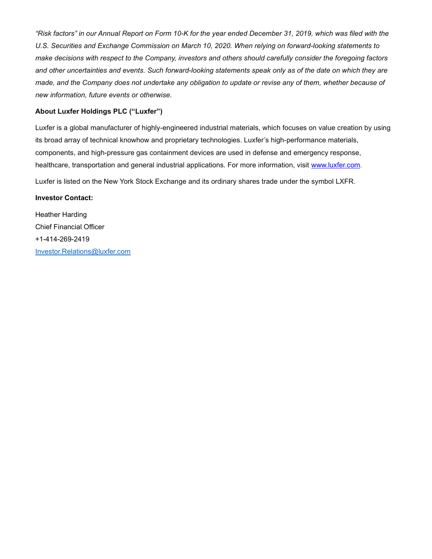"Risk factors" in our Annual Report on Form 10-K for the year ended December 31, 2019, which was filed with the U.S. Securities and Exchange Commission on March 10, 2020. When relying on forward-looking statements to make decisions with respect to the Company, investors and others should carefully consider the foregoing factors and other uncertainties and events. Such forward-looking statements speak only as of the date on which they are made, and the Company does not undertake any obligation to update or revise any of them, whether because of new information, future events or otherwise.

### About Luxfer Holdings PLC ("Luxfer")

Luxfer is a global manufacturer of highly-engineered industrial materials, which focuses on value creation by using its broad array of technical knowhow and proprietary technologies. Luxfer's high-performance materials, components, and high-pressure gas containment devices are used in defense and emergency response, healthcare, transportation and general industrial applications. For more information, visit www.luxfer.com.

Luxfer is listed on the New York Stock Exchange and its ordinary shares trade under the symbol LXFR.

#### Investor Contact:

Heather Harding Chief Financial Officer +1-414-269-2419 Investor.Relations@luxfer.com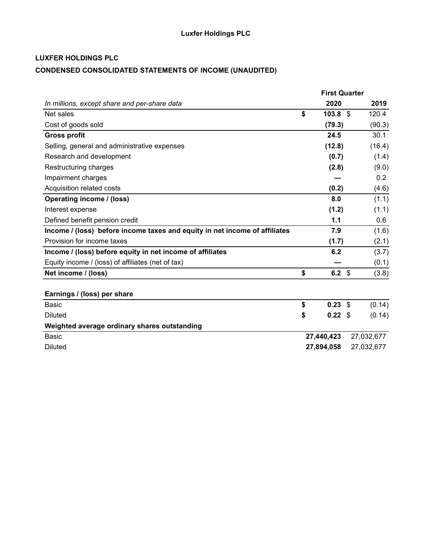# CONDENSED CONSOLIDATED STATEMENTS OF INCOME (UNAUDITED)

|                                                                            | <b>First Quarter</b>     |              |
|----------------------------------------------------------------------------|--------------------------|--------------|
| In millions, except share and per-share data                               | 2020                     | 2019         |
| Net sales                                                                  | \$<br>103.8 <sup>°</sup> | 120.4        |
| Cost of goods sold                                                         | (79.3)                   | (90.3)       |
| <b>Gross profit</b>                                                        | 24.5                     | 30.1         |
| Selling, general and administrative expenses                               | (12.8)                   | (16.4)       |
| Research and development                                                   | (0.7)                    | (1.4)        |
| Restructuring charges                                                      | (2.8)                    | (9.0)        |
| Impairment charges                                                         |                          | 0.2          |
| Acquisition related costs                                                  | (0.2)                    | (4.6)        |
| Operating income / (loss)                                                  | 8.0                      | (1.1)        |
| Interest expense                                                           | (1.2)                    | (1.1)        |
| Defined benefit pension credit                                             | 1.1                      | 0.6          |
| Income / (loss) before income taxes and equity in net income of affiliates | 7.9                      | (1.6)        |
| Provision for income taxes                                                 | (1.7)                    | (2.1)        |
| Income / (loss) before equity in net income of affiliates                  | 6.2                      | (3.7)        |
| Equity income / (loss) of affiliates (net of tax)                          |                          | (0.1)        |
| Net income / (loss)                                                        | \$<br>6.2 $$$            | (3.8)        |
|                                                                            |                          |              |
| Earnings / (loss) per share                                                |                          |              |
| <b>Basic</b>                                                               | \$<br>0.23               | \$<br>(0.14) |
| <b>Diluted</b>                                                             | \$<br>$0.22$ \$          | (0.14)       |
| Weighted average ordinary shares outstanding                               |                          |              |
| <b>Basic</b>                                                               | 27,440,423               | 27,032,677   |
| <b>Diluted</b>                                                             | 27,894,058               | 27,032,677   |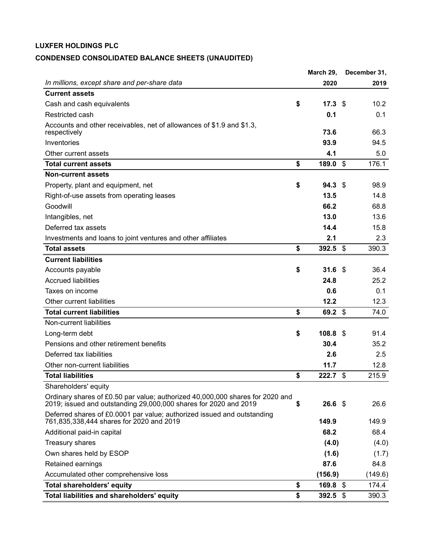# CONDENSED CONSOLIDATED BALANCE SHEETS (UNAUDITED)

|                                                                                                                                                   |    | March 29,         |                           | December 31, |
|---------------------------------------------------------------------------------------------------------------------------------------------------|----|-------------------|---------------------------|--------------|
| In millions, except share and per-share data                                                                                                      |    | 2020              |                           | 2019         |
| <b>Current assets</b>                                                                                                                             |    |                   |                           |              |
| Cash and cash equivalents                                                                                                                         | \$ | 17.3 <sup>°</sup> |                           | 10.2         |
| Restricted cash                                                                                                                                   |    | 0.1               |                           | 0.1          |
| Accounts and other receivables, net of allowances of \$1.9 and \$1.3,<br>respectively                                                             |    | 73.6              |                           | 66.3         |
| Inventories                                                                                                                                       |    | 93.9              |                           | 94.5         |
| Other current assets                                                                                                                              |    | 4.1               |                           | 5.0          |
| <b>Total current assets</b>                                                                                                                       | \$ | 189.0             | $\boldsymbol{\mathsf{s}}$ | 176.1        |
| <b>Non-current assets</b>                                                                                                                         |    |                   |                           |              |
| Property, plant and equipment, net                                                                                                                | \$ | 94.3 <sup>°</sup> |                           | 98.9         |
| Right-of-use assets from operating leases                                                                                                         |    | 13.5              |                           | 14.8         |
| Goodwill                                                                                                                                          |    | 66.2              |                           | 68.8         |
| Intangibles, net                                                                                                                                  |    | 13.0              |                           | 13.6         |
| Deferred tax assets                                                                                                                               |    | 14.4              |                           | 15.8         |
| Investments and loans to joint ventures and other affiliates                                                                                      |    | 2.1               |                           | 2.3          |
| <b>Total assets</b>                                                                                                                               | \$ | $392.5$ \$        |                           | 390.3        |
| <b>Current liabilities</b>                                                                                                                        |    |                   |                           |              |
| Accounts payable                                                                                                                                  | \$ | 31.6 <sup>°</sup> |                           | 36.4         |
| <b>Accrued liabilities</b>                                                                                                                        |    | 24.8              |                           | 25.2         |
| Taxes on income                                                                                                                                   |    | 0.6               |                           | 0.1          |
| Other current liabilities                                                                                                                         |    | 12.2              |                           | 12.3         |
| <b>Total current liabilities</b>                                                                                                                  | \$ | 69.2 \$           |                           | 74.0         |
| Non-current liabilities                                                                                                                           |    |                   |                           |              |
| Long-term debt                                                                                                                                    | \$ | 108.8 \$          |                           | 91.4         |
| Pensions and other retirement benefits                                                                                                            |    | 30.4              |                           | 35.2         |
| Deferred tax liabilities                                                                                                                          |    | 2.6               |                           | 2.5          |
| Other non-current liabilities                                                                                                                     |    | 11.7              |                           | 12.8         |
| <b>Total liabilities</b>                                                                                                                          | \$ | $222.7$ \$        |                           | 215.9        |
| Shareholders' equity                                                                                                                              |    |                   |                           |              |
| Ordinary shares of £0.50 par value; authorized 40,000,000 shares for 2020 and<br>2019; issued and outstanding 29,000,000 shares for 2020 and 2019 | S  | 26.6%             |                           | 26.6         |
| Deferred shares of £0.0001 par value; authorized issued and outstanding<br>761,835,338,444 shares for 2020 and 2019                               |    | 149.9             |                           | 149.9        |
| Additional paid-in capital                                                                                                                        |    | 68.2              |                           | 68.4         |
| Treasury shares                                                                                                                                   |    | (4.0)             |                           | (4.0)        |
| Own shares held by ESOP                                                                                                                           |    | (1.6)             |                           | (1.7)        |
| Retained earnings                                                                                                                                 |    | 87.6              |                           | 84.8         |
| Accumulated other comprehensive loss                                                                                                              |    | (156.9)           |                           | (149.6)      |
| <b>Total shareholders' equity</b>                                                                                                                 | \$ | $169.8$ \$        |                           | 174.4        |
| Total liabilities and shareholders' equity                                                                                                        | \$ | 392.5 $$$         |                           | 390.3        |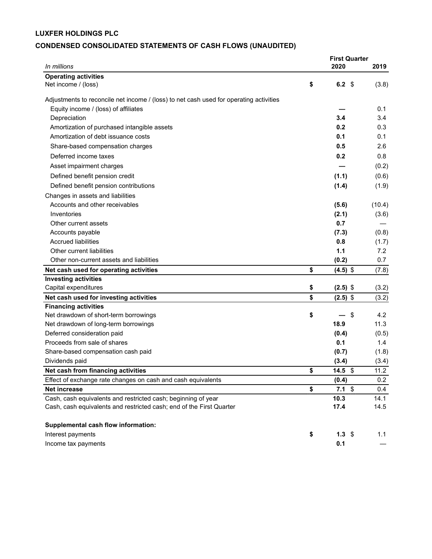# CONDENSED CONSOLIDATED STATEMENTS OF CASH FLOWS (UNAUDITED)

|                                                                                                                                       | <b>First Quarter</b>   |               |
|---------------------------------------------------------------------------------------------------------------------------------------|------------------------|---------------|
| In millions                                                                                                                           | 2020                   | 2019          |
| <b>Operating activities</b>                                                                                                           |                        |               |
| Net income / (loss)                                                                                                                   | \$<br>6.2 $$$          | (3.8)         |
| Adjustments to reconcile net income / (loss) to net cash used for operating activities                                                |                        |               |
| Equity income / (loss) of affiliates                                                                                                  |                        | 0.1           |
| Depreciation                                                                                                                          | 3.4                    | 3.4           |
| Amortization of purchased intangible assets                                                                                           | 0.2                    | 0.3           |
| Amortization of debt issuance costs                                                                                                   | 0.1                    | 0.1           |
| Share-based compensation charges                                                                                                      | 0.5                    | 2.6           |
| Deferred income taxes                                                                                                                 | 0.2                    | 0.8           |
| Asset impairment charges                                                                                                              |                        | (0.2)         |
| Defined benefit pension credit                                                                                                        | (1.1)                  | (0.6)         |
| Defined benefit pension contributions                                                                                                 | (1.4)                  | (1.9)         |
| Changes in assets and liabilities                                                                                                     |                        |               |
| Accounts and other receivables                                                                                                        | (5.6)                  | (10.4)        |
| Inventories                                                                                                                           | (2.1)                  | (3.6)         |
| Other current assets                                                                                                                  | 0.7                    |               |
| Accounts payable                                                                                                                      | (7.3)                  | (0.8)         |
| <b>Accrued liabilities</b>                                                                                                            | 0.8                    | (1.7)         |
| Other current liabilities                                                                                                             | 1.1                    | 7.2           |
| Other non-current assets and liabilities                                                                                              | (0.2)                  | 0.7           |
| Net cash used for operating activities                                                                                                | \$<br>$(4.5)$ \$       | (7.8)         |
| <b>Investing activities</b>                                                                                                           |                        |               |
| Capital expenditures                                                                                                                  | \$<br>$(2.5)$ \$       | (3.2)         |
| Net cash used for investing activities                                                                                                | \$<br>$(2.5)$ \$       | (3.2)         |
| <b>Financing activities</b>                                                                                                           |                        |               |
| Net drawdown of short-term borrowings                                                                                                 | \$<br>-\$              | 4.2           |
| Net drawdown of long-term borrowings                                                                                                  | 18.9                   | 11.3          |
| Deferred consideration paid                                                                                                           | (0.4)                  | (0.5)         |
| Proceeds from sale of shares                                                                                                          | 0.1                    | $1.4^{\circ}$ |
| Share-based compensation cash paid                                                                                                    | (0.7)                  | (1.8)         |
| Dividends paid                                                                                                                        | (3.4)                  | (3.4)         |
| Net cash from financing activities                                                                                                    | \$<br>14.5 $$$         | 11.2          |
| Effect of exchange rate changes on cash and cash equivalents                                                                          | (0.4)                  | 0.2           |
| <b>Net increase</b>                                                                                                                   | \$<br>$7.1 \;$ \$      | 0.4           |
| Cash, cash equivalents and restricted cash; beginning of year<br>Cash, cash equivalents and restricted cash; end of the First Quarter | 10.3<br>17.4           | 14.1<br>14.5  |
|                                                                                                                                       |                        |               |
| Supplemental cash flow information:                                                                                                   |                        |               |
| Interest payments                                                                                                                     | \$<br>$1.3 \; \hat{s}$ | 1.1           |
| Income tax payments                                                                                                                   | 0.1                    |               |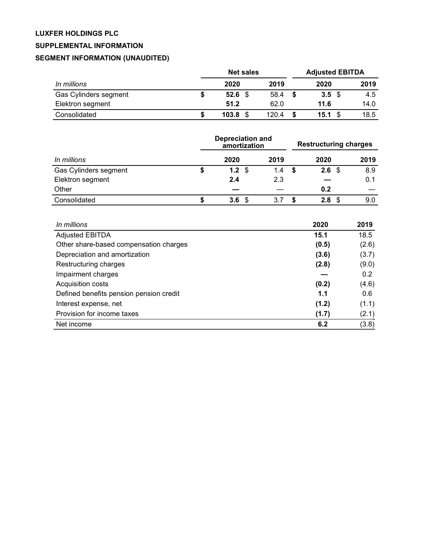# SUPPLEMENTAL INFORMATION

# SEGMENT INFORMATION (UNAUDITED)

|                       | <b>Net sales</b> |           |       | <b>Adjusted EBITDA</b> |                   |      |
|-----------------------|------------------|-----------|-------|------------------------|-------------------|------|
| In millions           |                  | 2020      | 2019  |                        | 2020              | 2019 |
| Gas Cylinders segment |                  | $52.6$ \$ | 58.4  | - \$                   | $3.5 \text{ } $5$ | 4.5  |
| Elektron segment      |                  | 51.2      | 62.0  |                        | 11.6              | 14.0 |
| Consolidated          |                  | 103.8     | 120.4 |                        | 15.1              | 18.5 |

|                       | <b>Depreciation and</b><br>amortization |      |      | <b>Restructuring charges</b> |   |             |      |
|-----------------------|-----------------------------------------|------|------|------------------------------|---|-------------|------|
| In millions           |                                         | 2020 |      | 2019                         |   | 2020        | 2019 |
| Gas Cylinders segment |                                         | 1.2  | - \$ | 1.4                          | S | 2.6<br>- \$ | 8.9  |
| Elektron segment      |                                         | 2.4  |      | 2.3                          |   |             | 0.1  |
| Other                 |                                         |      |      |                              |   | 0.2         |      |
| Consolidated          |                                         | 3.6  | - \$ | 3.7                          |   | 2.8<br>\$.  | 9.0  |

| In millions                             | 2020  | 2019          |
|-----------------------------------------|-------|---------------|
| <b>Adjusted EBITDA</b>                  | 15.1  | 18.5          |
| Other share-based compensation charges  | (0.5) | (2.6)         |
| Depreciation and amortization           | (3.6) | (3.7)         |
| Restructuring charges                   | (2.8) | (9.0)         |
| Impairment charges                      |       | $0.2^{\circ}$ |
| Acquisition costs                       | (0.2) | (4.6)         |
| Defined benefits pension pension credit | 1.1   | 0.6           |
| Interest expense, net                   | (1.2) | (1.1)         |
| Provision for income taxes              | (1.7) | (2.1)         |
| Net income                              | 6.2   | (3.8)         |